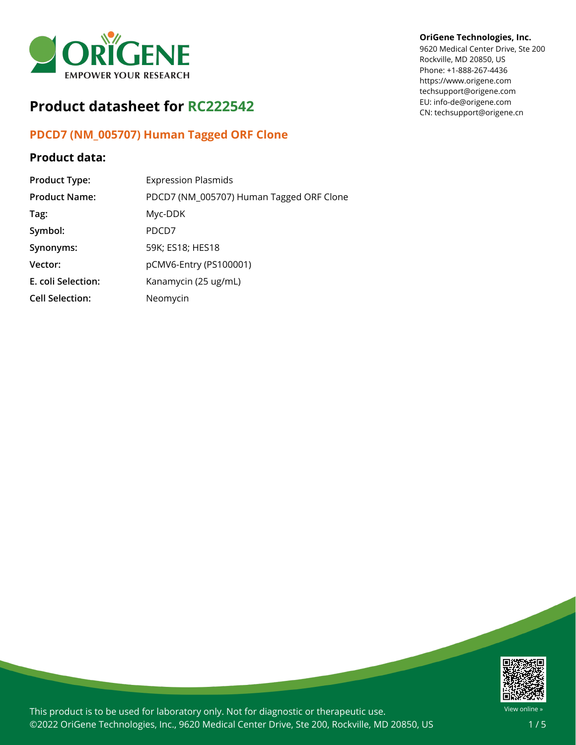

# **Product datasheet for RC222542**

## **PDCD7 (NM\_005707) Human Tagged ORF Clone**

### **Product data:**

| <b>Product Type:</b>   | <b>Expression Plasmids</b>               |
|------------------------|------------------------------------------|
| <b>Product Name:</b>   | PDCD7 (NM_005707) Human Tagged ORF Clone |
| Tag:                   | Myc-DDK                                  |
| Symbol:                | PDCD7                                    |
| Synonyms:              | 59K; ES18; HES18                         |
| Vector:                | pCMV6-Entry (PS100001)                   |
| E. coli Selection:     | Kanamycin (25 ug/mL)                     |
| <b>Cell Selection:</b> | Neomycin                                 |

#### **OriGene Technologies, Inc.**

9620 Medical Center Drive, Ste 200 Rockville, MD 20850, US Phone: +1-888-267-4436 https://www.origene.com techsupport@origene.com EU: info-de@origene.com CN: techsupport@origene.cn



This product is to be used for laboratory only. Not for diagnostic or therapeutic use. ©2022 OriGene Technologies, Inc., 9620 Medical Center Drive, Ste 200, Rockville, MD 20850, US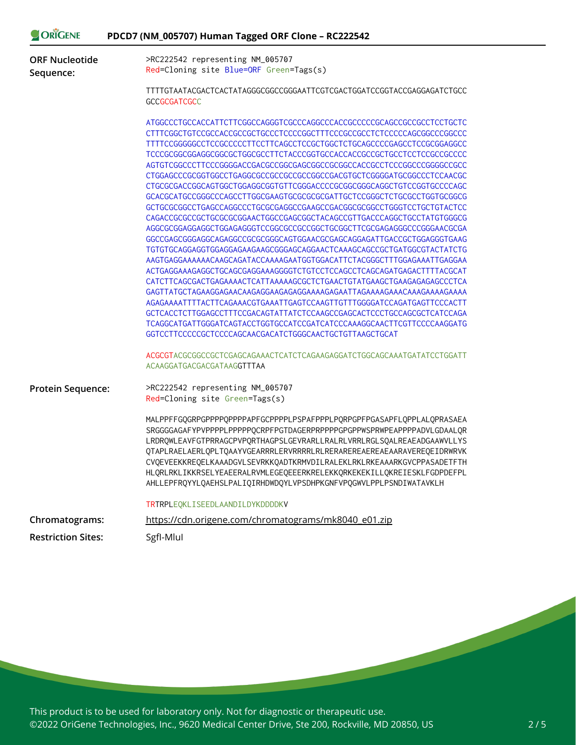| ORIGENE                            | PDCD7 (NM_005707) Human Tagged ORF Clone - RC222542                                                                                                                                                                                                                                                                                                                                                                                                                                                                                                                                                                                                                                                                                                                                                                                                                                                                                                                                                                                                                                                                                                                                                                                                                                                                                                                                          |
|------------------------------------|----------------------------------------------------------------------------------------------------------------------------------------------------------------------------------------------------------------------------------------------------------------------------------------------------------------------------------------------------------------------------------------------------------------------------------------------------------------------------------------------------------------------------------------------------------------------------------------------------------------------------------------------------------------------------------------------------------------------------------------------------------------------------------------------------------------------------------------------------------------------------------------------------------------------------------------------------------------------------------------------------------------------------------------------------------------------------------------------------------------------------------------------------------------------------------------------------------------------------------------------------------------------------------------------------------------------------------------------------------------------------------------------|
| <b>ORF Nucleotide</b><br>Sequence: | >RC222542 representing NM_005707<br>Red=Cloning site Blue=ORF Green=Tags(s)                                                                                                                                                                                                                                                                                                                                                                                                                                                                                                                                                                                                                                                                                                                                                                                                                                                                                                                                                                                                                                                                                                                                                                                                                                                                                                                  |
|                                    | TTTTGTAATACGACTCACTATAGGGCGGCCGGGAATTCGTCGACTGGATCCGGTACCGAGGAGATCTGCC<br><b>GCCGCGATCGCC</b>                                                                                                                                                                                                                                                                                                                                                                                                                                                                                                                                                                                                                                                                                                                                                                                                                                                                                                                                                                                                                                                                                                                                                                                                                                                                                                |
|                                    | ATGGCCCTGCCACCATTCTTCGGCCAGGGTCGCCCAGGCCCACCGCCCCCGCAGCCGCCGCCTCCTGCTC<br>CTTTCGGCTGTCCGCCACCGCCGCTGCCCTCCCCGGCTTTCCCGCCGCCTCTCCCCCAGCGGCCCGGCCC<br>TTTTCCGGGGGCCTCCGCCCCCTTCCTTCAGCCTCCGCTGGCTCTGCAGCCCCGAGCCTCCGCGGAGGCC<br>TCCCGCGCGGGGGGGCGCGCTGGCGCCTTCTACCCGGTGCCACCACCGCCGCTGCCTCCTCCGCCGCCCC<br>CTGCGCGACCGGCAGTGGCTGGAGGCGGTGTTCGGGACCCCGCGGCGGCAGGCTGTCCGGTGCCCCAGC<br>GCTGCGCGGCCTGAGCCAGGCCCTGCGCGAGGCCGAAGCCGACGGCGCGCCTGGGTCCTGCTGTACTCC<br>CAGACCGCGCCGCTGCGCGCGGAACTGGCCGAGCGGCTACAGCCGTTGACCCAGGCTGCCTATGTGGGCG<br>AGGCGCGGAGGAGGCTGGAGAGGGTCCGGCGCCCGGCTGCGGCTTCGCGAGAGGGCCCGGGAACGCGA<br>GGCCGAGCGGGAGCCAGAGGCCGCGCGGGCAGTGGAACGCGAGCAGGAGATTGACCGCTGGAGGGTGAAG<br>TGTGTGCAGGAGGTGGAGGAGAAGAAGCGGGAGCAGGAACTCAAAGCAGCCGCTGATGGCGTACTATCTG<br>AAGTGAGGAAAAAAACAAGCAGATACCAAAAGAATGGTGGACATTCTACGGGCTTTGGAGAAATTGAGGAA<br>ACTGAGGAAAGAGGCTGCAGCGAGGAAAGGGGTCTGTCCTCCAGCCTCAGCAGATGAGACTTTTACGCAT<br>GAGTTATGCTAGAAGGAGAACAAGAGGAAGAGAGGAAAAGAGAATTAGAAAAGAAACAAAGAAAAGAAAA<br>AGAGAAAATTTTACTTCAGAAACGTGAAATTGAGTCCAAGTTGTTTGGGGATCCAGATGAGTTCCCACTT<br>GCTCACCTCTTGGAGCCTTTCCGACAGTATTATCTCCAAGCCGAGCACTCCCTGCCAGCGCTCATCCAGA<br>TCAGGCATGATTGGGATCAGTACCTGGTGCCATCCGATCATCCCAAAGGCAACTTCGTTCCCCAAGGATG<br>GGTCCTTCCCCCGCTCCCCAGCAACGACATCTGGGCAACTGCTGTTAAGCTGCAT<br>ACGCGTACGCGGCCGCTCGAGCAGAAACTCATCTCAGAAGAGGATCTGGCAGCAAATGATATCCTGGATT<br>ACAAGGATGACGACGATAAGGTTTAA |
| <b>Protein Sequence:</b>           | >RC222542 representing NM_005707<br>Red=Cloning site Green=Tags(s)<br>MALPPFFGQGRPGPPPPQPPPPAPFGCPPPPLPSPAFPPPLPQRPGPFPGASAPFLQPPLALQPRASAEA<br>SRGGGGAGAFYPVPPPPLPPPPPQCRPFPGTDAGERPRPPPPGPGPPWSPRWPEAPPPPADVLGDAALQR                                                                                                                                                                                                                                                                                                                                                                                                                                                                                                                                                                                                                                                                                                                                                                                                                                                                                                                                                                                                                                                                                                                                                                       |
|                                    | LRDRQWLEAVFGTPRRAGCPVPQRTHAGPSLGEVRARLLRALRLVRRLRGLSQALREAEADGAAWVLLYS<br>QTAPLRAELAERLQPLTQAAYVGEARRRLERVRRRRLRLRERAREREAEREAEAARAVEREQEIDRWRVK<br>CVQEVEEKKREQELKAAADGVLSEVRKKQADTKRMVDILRALEKLRKLRKEAAARKGVCPPASADETFTH<br>HLQRLRKLIKKRSELYEAEERALRVMLEGEQEEERKRELEKKQRKEKEKILLQKREIESKLFGDPDEFPL<br>AHLLEPFRQYYLQAEHSLPALIQIRHDWDQYLVPSDHPKGNFVPQGWVLPPLPSNDIWATAVKLH                                                                                                                                                                                                                                                                                                                                                                                                                                                                                                                                                                                                                                                                                                                                                                                                                                                                                                                                                                                                                    |
|                                    | TRTRPLEQKLISEEDLAANDILDYKDDDDKV                                                                                                                                                                                                                                                                                                                                                                                                                                                                                                                                                                                                                                                                                                                                                                                                                                                                                                                                                                                                                                                                                                                                                                                                                                                                                                                                                              |
| Chromatograms:                     | https://cdn.origene.com/chromatograms/mk8040_e01.zip                                                                                                                                                                                                                                                                                                                                                                                                                                                                                                                                                                                                                                                                                                                                                                                                                                                                                                                                                                                                                                                                                                                                                                                                                                                                                                                                         |
| <b>Restriction Sites:</b>          | SgfI-Mlul                                                                                                                                                                                                                                                                                                                                                                                                                                                                                                                                                                                                                                                                                                                                                                                                                                                                                                                                                                                                                                                                                                                                                                                                                                                                                                                                                                                    |

This product is to be used for laboratory only. Not for diagnostic or therapeutic use. ©2022 OriGene Technologies, Inc., 9620 Medical Center Drive, Ste 200, Rockville, MD 20850, US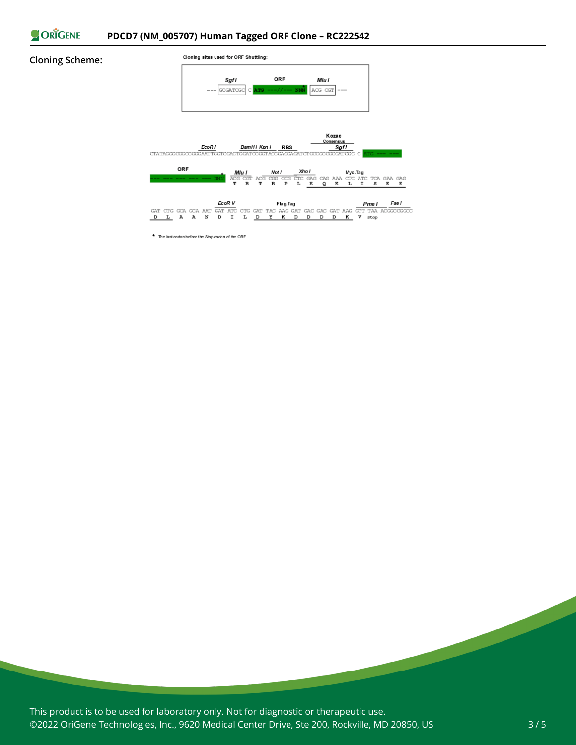

#### **Cloning Scheme:**



\* The last codon before the Stop codon of the ORF

This product is to be used for laboratory only. Not for diagnostic or therapeutic use. ©2022 OriGene Technologies, Inc., 9620 Medical Center Drive, Ste 200, Rockville, MD 20850, US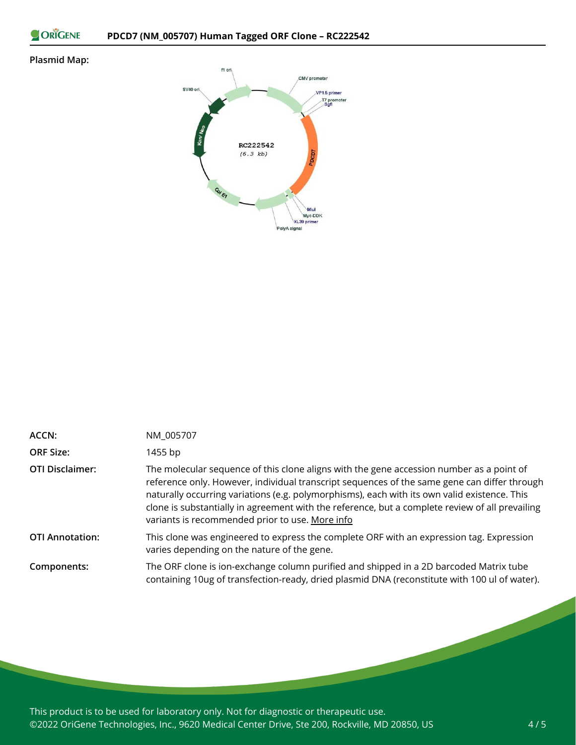ORIGENE

### **Plasmid Map:**



| ACCN:                  | NM_005707                                                                                                                                                                                                                                                                                                                                                                                                                                      |
|------------------------|------------------------------------------------------------------------------------------------------------------------------------------------------------------------------------------------------------------------------------------------------------------------------------------------------------------------------------------------------------------------------------------------------------------------------------------------|
| <b>ORF Size:</b>       | 1455 bp                                                                                                                                                                                                                                                                                                                                                                                                                                        |
| <b>OTI Disclaimer:</b> | The molecular sequence of this clone aligns with the gene accession number as a point of<br>reference only. However, individual transcript sequences of the same gene can differ through<br>naturally occurring variations (e.g. polymorphisms), each with its own valid existence. This<br>clone is substantially in agreement with the reference, but a complete review of all prevailing<br>variants is recommended prior to use. More info |
| <b>OTI Annotation:</b> | This clone was engineered to express the complete ORF with an expression tag. Expression<br>varies depending on the nature of the gene.                                                                                                                                                                                                                                                                                                        |
| Components:            | The ORF clone is ion-exchange column purified and shipped in a 2D barcoded Matrix tube<br>containing 10ug of transfection-ready, dried plasmid DNA (reconstitute with 100 ul of water).                                                                                                                                                                                                                                                        |

This product is to be used for laboratory only. Not for diagnostic or therapeutic use. ©2022 OriGene Technologies, Inc., 9620 Medical Center Drive, Ste 200, Rockville, MD 20850, US